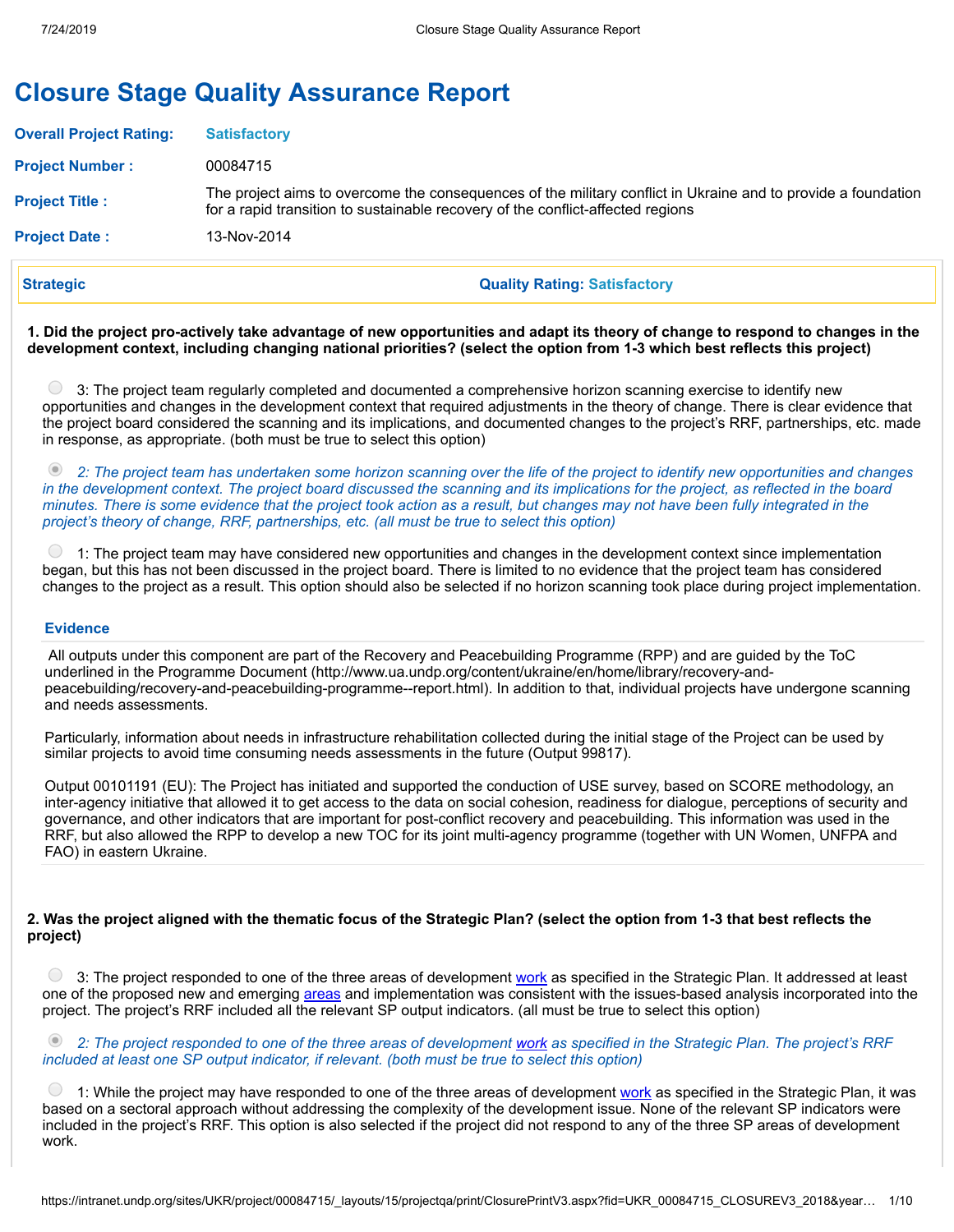# **Closure Stage Quality Assurance Report**

| <b>Strategic</b>               | <b>Quality Rating: Satisfactory</b>                                                                                                                                                              |
|--------------------------------|--------------------------------------------------------------------------------------------------------------------------------------------------------------------------------------------------|
| <b>Project Date:</b>           | 13-Nov-2014                                                                                                                                                                                      |
| <b>Project Title:</b>          | The project aims to overcome the consequences of the military conflict in Ukraine and to provide a foundation<br>for a rapid transition to sustainable recovery of the conflict-affected regions |
| <b>Project Number:</b>         | 00084715                                                                                                                                                                                         |
| <b>Overall Project Rating:</b> | <b>Satisfactory</b>                                                                                                                                                                              |

1. Did the project pro-actively take advantage of new opportunities and adapt its theory of change to respond to changes in the development context, including changing national priorities? (select the option from 1-3 which best reflects this project)

3: The project team regularly completed and documented a comprehensive horizon scanning exercise to identify new opportunities and changes in the development context that required adjustments in the theory of change. There is clear evidence that the project board considered the scanning and its implications, and documented changes to the project's RRF, partnerships, etc. made in response, as appropriate. (both must be true to select this option)

2: The project team has undertaken some horizon scanning over the life of the project to identify new opportunities and changes in the development context. The project board discussed the scanning and its implications for the project, as reflected in the board minutes. There is some evidence that the project took action as a result, but changes may not have been fully integrated in the *project's theory of change, RRF, partnerships, etc. (all must be true to select this option)*

 $\left(\begin{array}{c} \end{array}\right)$ 1: The project team may have considered new opportunities and changes in the development context since implementation began, but this has not been discussed in the project board. There is limited to no evidence that the project team has considered changes to the project as a result. This option should also be selected if no horizon scanning took place during project implementation.

#### **Evidence**

All outputs under this component are part of the Recovery and Peacebuilding Programme (RPP) and are guided by the ToC underlined in the Programme Document (http://www.ua.undp.org/content/ukraine/en/home/library/recovery-andpeacebuilding/recovery-and-peacebuilding-programme--report.html). In addition to that, individual projects have undergone scanning and needs assessments.

Particularly, information about needs in infrastructure rehabilitation collected during the initial stage of the Project can be used by similar projects to avoid time consuming needs assessments in the future (Output 99817).

Output 00101191 (EU): The Project has initiated and supported the conduction of USE survey, based on SCORE methodology, an inter-agency initiative that allowed it to get access to the data on social cohesion, readiness for dialogue, perceptions of security and governance, and other indicators that are important for post-conflict recovery and peacebuilding. This information was used in the RRF, but also allowed the RPP to develop a new TOC for its joint multi-agency programme (together with UN Women, UNFPA and FAO) in eastern Ukraine.

### 2. Was the project aligned with the thematic focus of the Strategic Plan? (select the option from 1-3 that best reflects the **project)**

<sup>3</sup> 3: The project responded to one of the three areas of development [work](javascript:void(0);) as specified in the Strategic Plan. It addressed at least one of the proposed new and emerging [areas](javascript:void(0);) and implementation was consistent with the issues-based analysis incorporated into the project. The project's RRF included all the relevant SP output indicators. (all must be true to select this option)

2: The project responded to one of the three areas of development [work](javascript:void(0);) as specified in the Strategic Plan. The project's RRF *included at least one SP output indicator, if relevant. (both must be true to select this option)*

1: While the project may have responded to one of the three areas of development [work](javascript:void(0);) as specified in the Strategic Plan, it was based on a sectoral approach without addressing the complexity of the development issue. None of the relevant SP indicators were included in the project's RRF. This option is also selected if the project did not respond to any of the three SP areas of development work.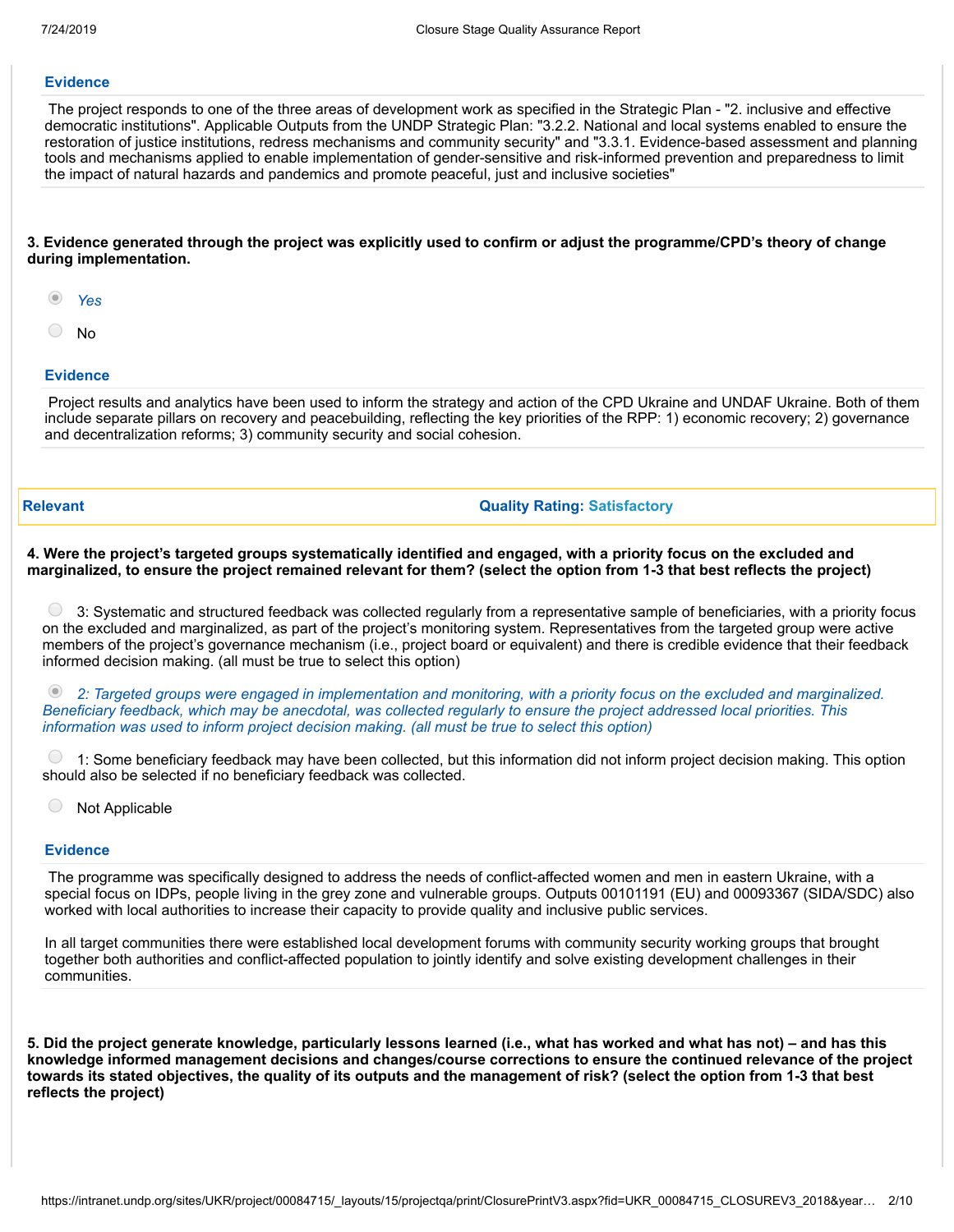#### **Evidence**

The project responds to one of the three areas of development work as specified in the Strategic Plan - "2. inclusive and effective democratic institutions". Applicable Outputs from the UNDP Strategic Plan: "3.2.2. National and local systems enabled to ensure the restoration of justice institutions, redress mechanisms and community security" and "3.3.1. Evidence-based assessment and planning tools and mechanisms applied to enable implementation of gender-sensitive and risk-informed prevention and preparedness to limit the impact of natural hazards and pandemics and promote peaceful, just and inclusive societies"

#### 3. Evidence generated through the project was explicitly used to confirm or adjust the programme/CPD's theory of change **during implementation.**

- *Yes*
- $\bigcirc$ No

#### **Evidence**

Project results and analytics have been used to inform the strategy and action of the CPD Ukraine and UNDAF Ukraine. Both of them include separate pillars on recovery and peacebuilding, reflecting the key priorities of the RPP: 1) economic recovery; 2) governance and decentralization reforms; 3) community security and social cohesion.

#### **Relevant Quality Rating: Satisfactory**

#### 4. Were the project's targeted groups systematically identified and engaged, with a priority focus on the excluded and marginalized, to ensure the project remained relevant for them? (select the option from 1-3 that best reflects the project)

 $\bigcirc$ 3: Systematic and structured feedback was collected regularly from a representative sample of beneficiaries, with a priority focus on the excluded and marginalized, as part of the project's monitoring system. Representatives from the targeted group were active members of the project's governance mechanism (i.e., project board or equivalent) and there is credible evidence that their feedback informed decision making. (all must be true to select this option)

(2) 2: Targeted groups were engaged in implementation and monitoring, with a priority focus on the excluded and marginalized. Beneficiary feedback, which may be anecdotal, was collected regularly to ensure the project addressed local priorities. This *information was used to inform project decision making. (all must be true to select this option)*

 $\bigcirc$ 1: Some beneficiary feedback may have been collected, but this information did not inform project decision making. This option should also be selected if no beneficiary feedback was collected.

 $\bigcirc$ Not Applicable

#### **Evidence**

The programme was specifically designed to address the needs of conflict-affected women and men in eastern Ukraine, with a special focus on IDPs, people living in the grey zone and vulnerable groups. Outputs 00101191 (EU) and 00093367 (SIDA/SDC) also worked with local authorities to increase their capacity to provide quality and inclusive public services.

In all target communities there were established local development forums with community security working groups that brought together both authorities and conflict-affected population to jointly identify and solve existing development challenges in their communities.

5. Did the project generate knowledge, particularly lessons learned (i.e., what has worked and what has not) – and has this **knowledge informed management decisions and changes/course corrections to ensure the continued relevance of the project** towards its stated objectives, the quality of its outputs and the management of risk? (select the option from 1-3 that best **reflects the project)**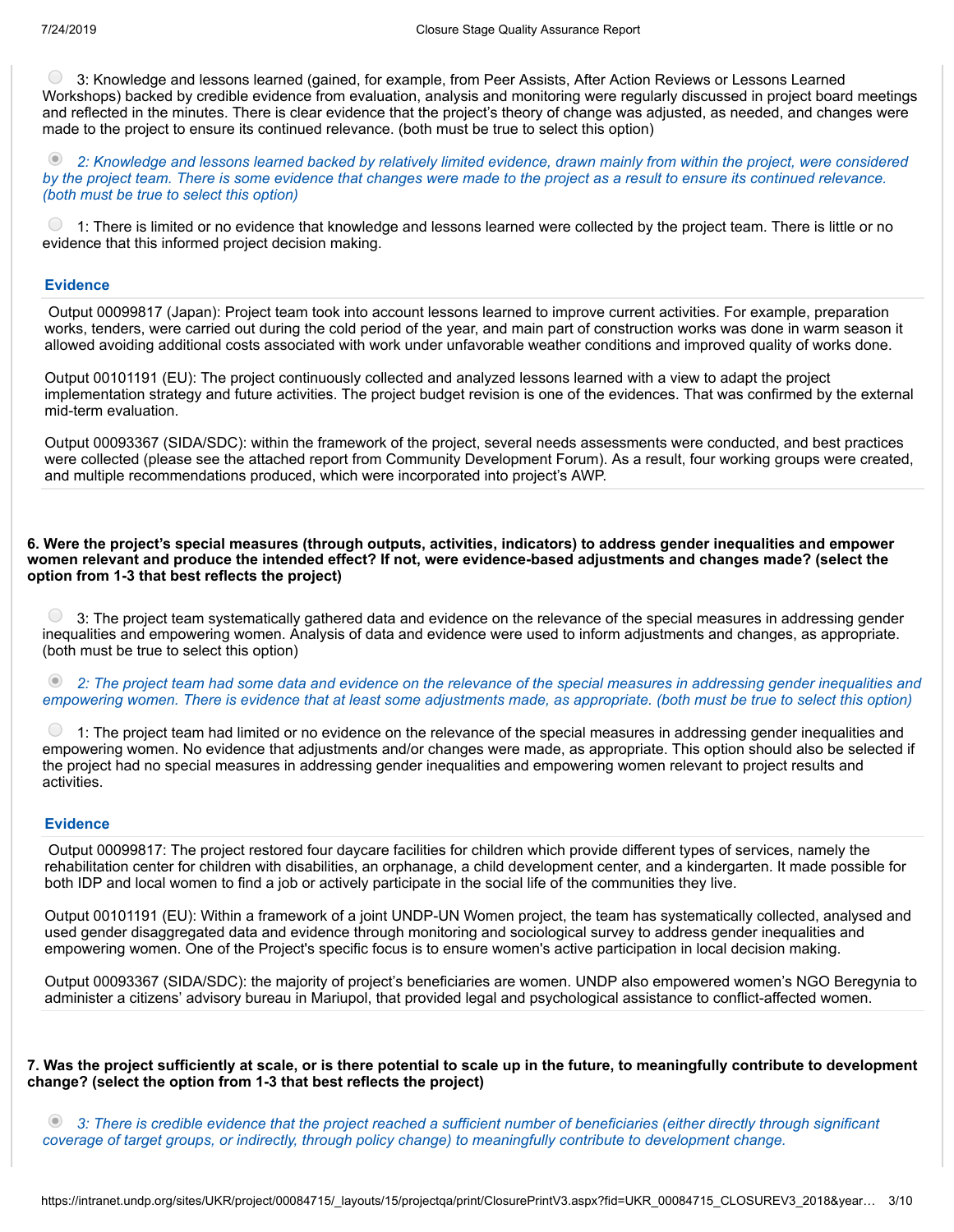$\bigcirc$ 3: Knowledge and lessons learned (gained, for example, from Peer Assists, After Action Reviews or Lessons Learned Workshops) backed by credible evidence from evaluation, analysis and monitoring were regularly discussed in project board meetings and reflected in the minutes. There is clear evidence that the project's theory of change was adjusted, as needed, and changes were made to the project to ensure its continued relevance. (both must be true to select this option)

2: Knowledge and lessons learned backed by relatively limited evidence, drawn mainly from within the project, were considered by the project team. There is some evidence that changes were made to the project as a result to ensure its continued relevance. *(both must be true to select this option)*

1: There is limited or no evidence that knowledge and lessons learned were collected by the project team. There is little or no evidence that this informed project decision making.

#### **Evidence**

Output 00099817 (Japan): Project team took into account lessons learned to improve current activities. For example, preparation works, tenders, were carried out during the cold period of the year, and main part of construction works was done in warm season it allowed avoiding additional costs associated with work under unfavorable weather conditions and improved quality of works done.

Output 00101191 (EU): The project continuously collected and analyzed lessons learned with a view to adapt the project implementation strategy and future activities. The project budget revision is one of the evidences. That was confirmed by the external mid-term evaluation.

Output 00093367 (SIDA/SDC): within the framework of the project, several needs assessments were conducted, and best practices were collected (please see the attached report from Community Development Forum). As a result, four working groups were created, and multiple recommendations produced, which were incorporated into project's AWP.

6. Were the project's special measures (through outputs, activities, indicators) to address gender inequalities and empower women relevant and produce the intended effect? If not, were evidence-based adjustments and changes made? (select the **option from 1-3 that best reflects the project)**

 $\bigcirc$  3: The project team systematically gathered data and evidence on the relevance of the special measures in addressing gender inequalities and empowering women. Analysis of data and evidence were used to inform adjustments and changes, as appropriate. (both must be true to select this option)

2: The project team had some data and evidence on the relevance of the special measures in addressing gender inequalities and empowering women. There is evidence that at least some adjustments made, as appropriate. (both must be true to select this option)

 $\bigcirc$ 1: The project team had limited or no evidence on the relevance of the special measures in addressing gender inequalities and empowering women. No evidence that adjustments and/or changes were made, as appropriate. This option should also be selected if the project had no special measures in addressing gender inequalities and empowering women relevant to project results and activities.

#### **Evidence**

Output 00099817: The project restored four daycare facilities for children which provide different types of services, namely the rehabilitation center for children with disabilities, an orphanage, a child development center, and a kindergarten. It made possible for both IDP and local women to find a job or actively participate in the social life of the communities they live.

Output 00101191 (EU): Within a framework of a joint UNDP-UN Women project, the team has systematically collected, analysed and used gender disaggregated data and evidence through monitoring and sociological survey to address gender inequalities and empowering women. One of the Project's specific focus is to ensure women's active participation in local decision making.

Output 00093367 (SIDA/SDC): the majority of project's beneficiaries are women. UNDP also empowered women's NGO Beregynia to administer a citizens' advisory bureau in Mariupol, that provided legal and psychological assistance to conflict-affected women.

7. Was the project sufficiently at scale, or is there potential to scale up in the future, to meaningfully contribute to development **change? (select the option from 1-3 that best reflects the project)**

3: There is credible evidence that the project reached a sufficient number of beneficiaries (either directly through significant *coverage of target groups, or indirectly, through policy change) to meaningfully contribute to development change.*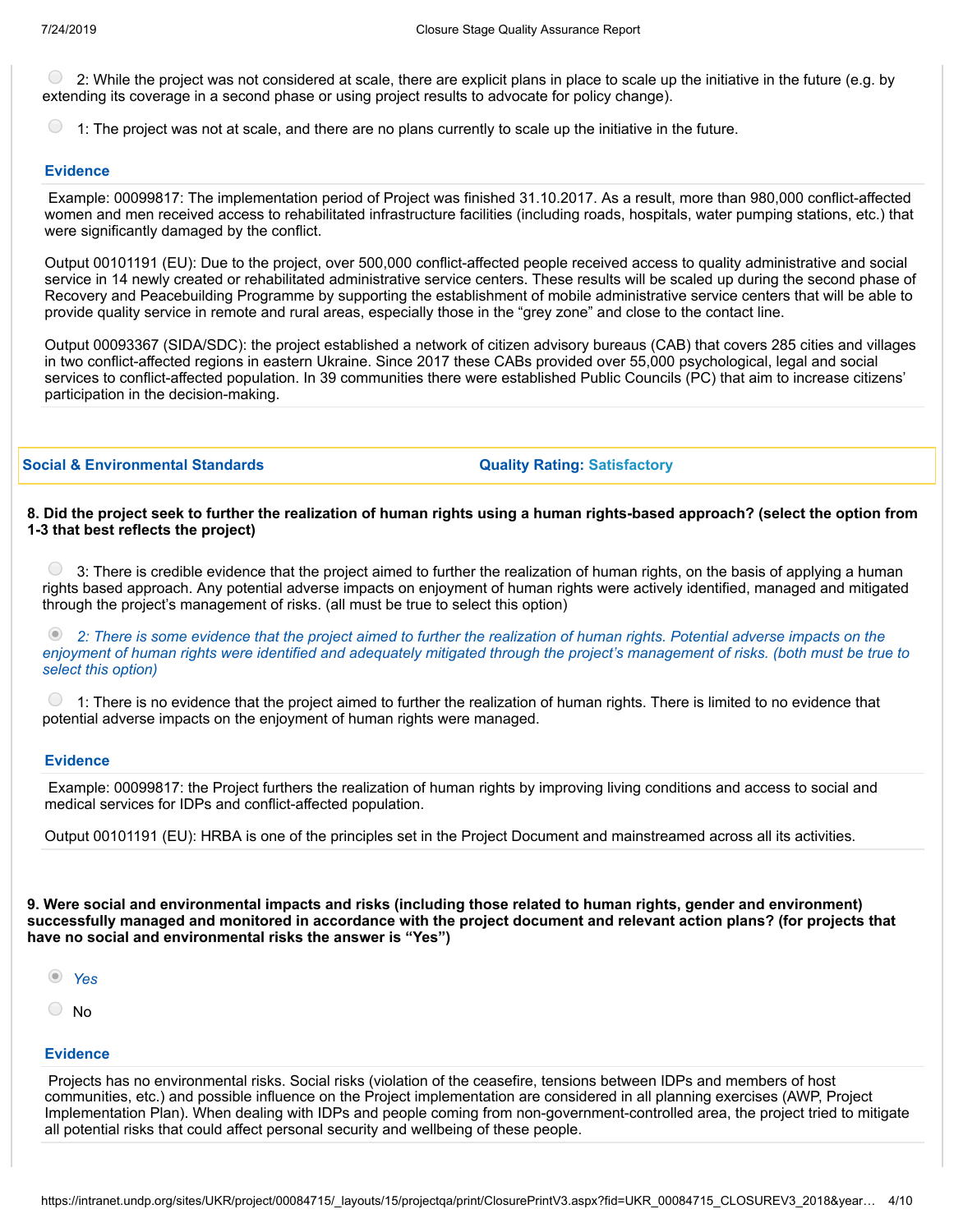2: While the project was not considered at scale, there are explicit plans in place to scale up the initiative in the future (e.g. by extending its coverage in a second phase or using project results to advocate for policy change).

1: The project was not at scale, and there are no plans currently to scale up the initiative in the future.

#### **Evidence**

Example: 00099817: The implementation period of Project was finished 31.10.2017. As a result, more than 980,000 conflict-affected women and men received access to rehabilitated infrastructure facilities (including roads, hospitals, water pumping stations, etc.) that were significantly damaged by the conflict.

Output 00101191 (EU): Due to the project, over 500,000 conflict-affected people received access to quality administrative and social service in 14 newly created or rehabilitated administrative service centers. These results will be scaled up during the second phase of Recovery and Peacebuilding Programme by supporting the establishment of mobile administrative service centers that will be able to provide quality service in remote and rural areas, especially those in the "grey zone" and close to the contact line.

Output 00093367 (SIDA/SDC): the project established a network of citizen advisory bureaus (CAB) that covers 285 cities and villages in two conflict-affected regions in eastern Ukraine. Since 2017 these CABs provided over 55,000 psychological, legal and social services to conflict-affected population. In 39 communities there were established Public Councils (PC) that aim to increase citizens' participation in the decision-making.

**Social & Environmental Standards Quality Rating: Satisfactory**

#### 8. Did the project seek to further the realization of human rights using a human rights-based approach? (select the option from **1-3 that best reflects the project)**

 $( )$ 3: There is credible evidence that the project aimed to further the realization of human rights, on the basis of applying a human rights based approach. Any potential adverse impacts on enjoyment of human rights were actively identified, managed and mitigated through the project's management of risks. (all must be true to select this option)

 $\odot$ 2. There is some evidence that the project aimed to further the realization of human rights. Potential adverse impacts on the enjoyment of human rights were identified and adequately mitigated through the project's management of risks. (both must be true to *select this option)*

 $\bigcirc$ 1: There is no evidence that the project aimed to further the realization of human rights. There is limited to no evidence that potential adverse impacts on the enjoyment of human rights were managed.

#### **Evidence**

Example: 00099817: the Project furthers the realization of human rights by improving living conditions and access to social and medical services for IDPs and conflict-affected population.

Output 00101191 (EU): HRBA is one of the principles set in the Project Document and mainstreamed across all its activities.

9. Were social and environmental impacts and risks (including those related to human rights, gender and environment) successfully managed and monitored in accordance with the project document and relevant action plans? (for projects that **have no social and environmental risks the answer is "Yes")**

- *Yes*
- No

#### **Evidence**

Projects has no environmental risks. Social risks (violation of the ceasefire, tensions between IDPs and members of host communities, etc.) and possible influence on the Project implementation are considered in all planning exercises (AWP, Project Implementation Plan). When dealing with IDPs and people coming from non-government-controlled area, the project tried to mitigate all potential risks that could affect personal security and wellbeing of these people.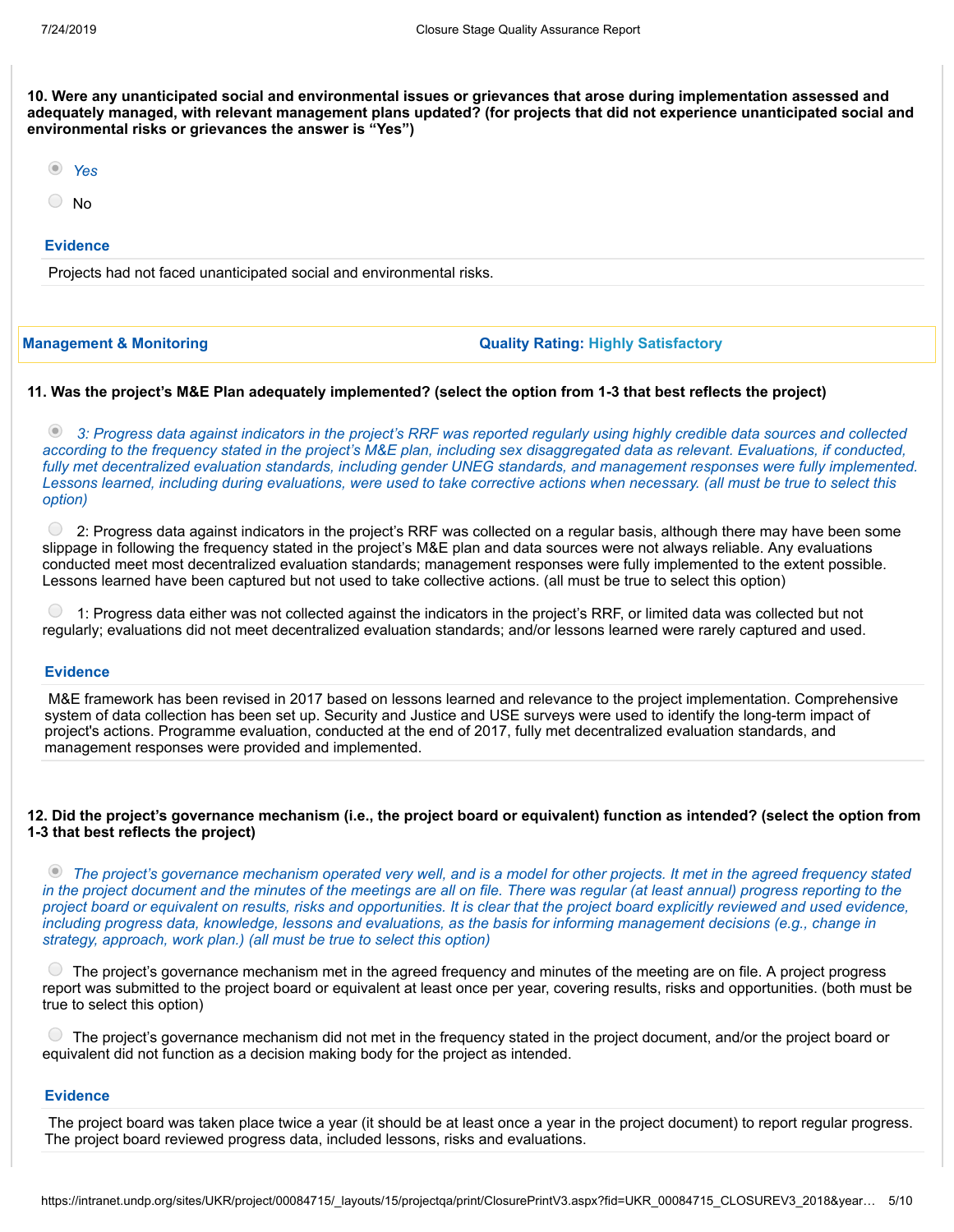10. Were any unanticipated social and environmental issues or grievances that arose during implementation assessed and adequately managed, with relevant management plans updated? (for projects that did not experience unanticipated social and **environmental risks or grievances the answer is "Yes")**

|--|

- No
- 

## **Evidence**

Projects had not faced unanticipated social and environmental risks.

#### **Management & Monitoring Quality Rating: Highly Satisfactory**

#### 11. Was the project's M&E Plan adequately implemented? (select the option from 1-3 that best reflects the project)

2 3: Progress data against indicators in the project's RRF was reported regularly using highly credible data sources and collected according to the frequency stated in the project's M&E plan, including sex disaggregated data as relevant. Evaluations, if conducted, fully met decentralized evaluation standards, including gender UNEG standards, and management responses were fully implemented. Lessons learned, including during evaluations, were used to take corrective actions when necessary. (all must be true to select this *option)*

 $\circ$  2: Progress data against indicators in the project's RRF was collected on a regular basis, although there may have been some slippage in following the frequency stated in the project's M&E plan and data sources were not always reliable. Any evaluations conducted meet most decentralized evaluation standards; management responses were fully implemented to the extent possible. Lessons learned have been captured but not used to take collective actions. (all must be true to select this option)

1: Progress data either was not collected against the indicators in the project's RRF, or limited data was collected but not regularly; evaluations did not meet decentralized evaluation standards; and/or lessons learned were rarely captured and used.

### **Evidence**

M&E framework has been revised in 2017 based on lessons learned and relevance to the project implementation. Comprehensive system of data collection has been set up. Security and Justice and USE surveys were used to identify the long-term impact of project's actions. Programme evaluation, conducted at the end of 2017, fully met decentralized evaluation standards, and management responses were provided and implemented.

#### 12. Did the project's governance mechanism (i.e., the project board or equivalent) function as intended? (select the option from **1-3 that best reflects the project)**

• The project's governance mechanism operated very well, and is a model for other projects. It met in the agreed frequency stated in the project document and the minutes of the meetings are all on file. There was regular (at least annual) progress reporting to the project board or equivalent on results, risks and opportunities. It is clear that the project board explicitly reviewed and used evidence, including progress data, knowledge, lessons and evaluations, as the basis for informing management decisions (e.g., change in *strategy, approach, work plan.) (all must be true to select this option)*

 $\cup$ The project's governance mechanism met in the agreed frequency and minutes of the meeting are on file. A project progress report was submitted to the project board or equivalent at least once per year, covering results, risks and opportunities. (both must be true to select this option)

The project's governance mechanism did not met in the frequency stated in the project document, and/or the project board or equivalent did not function as a decision making body for the project as intended.

#### **Evidence**

The project board was taken place twice a year (it should be at least once a year in the project document) to report regular progress. The project board reviewed progress data, included lessons, risks and evaluations.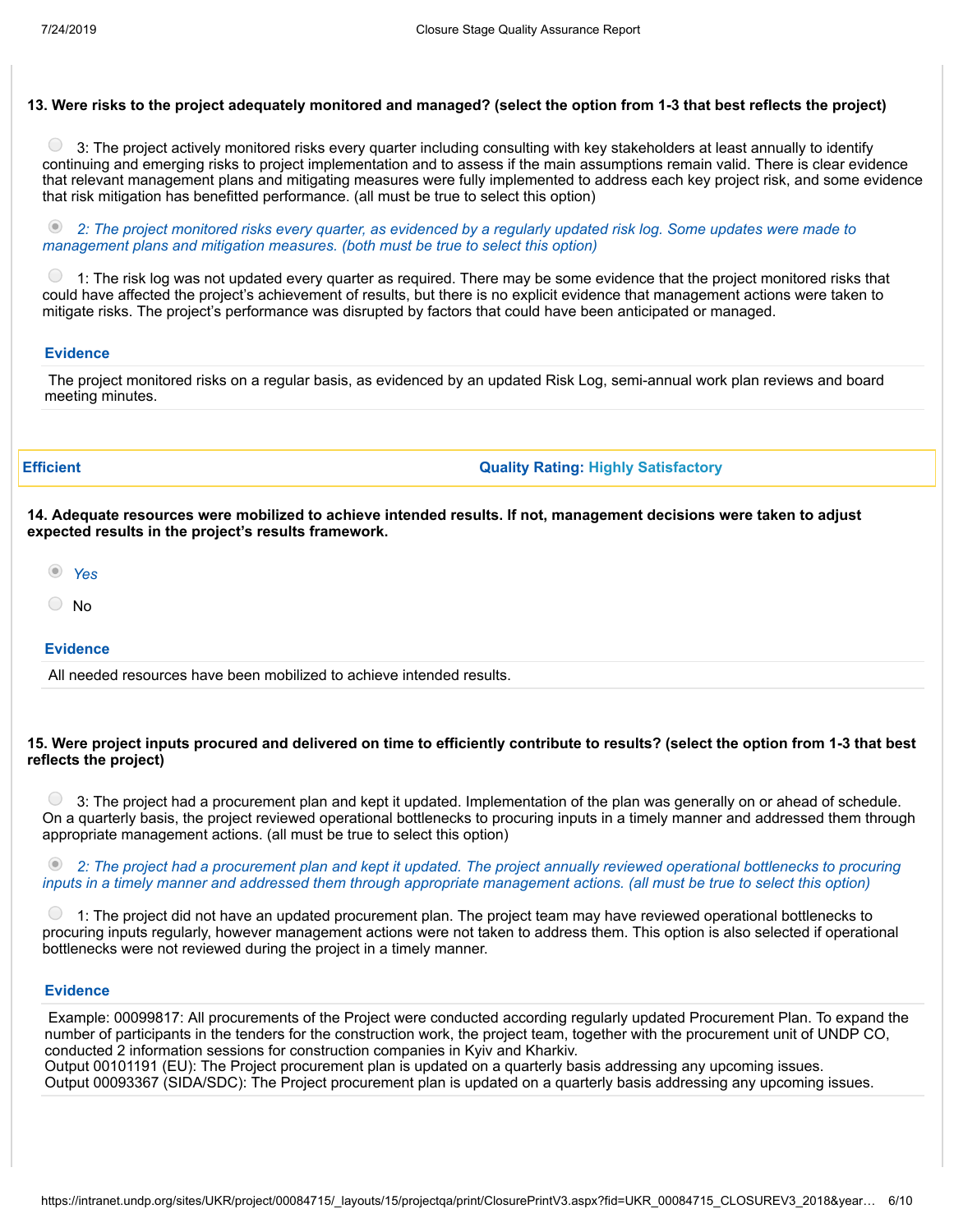#### 13. Were risks to the project adequately monitored and managed? (select the option from 1-3 that best reflects the project)

3: The project actively monitored risks every quarter including consulting with key stakeholders at least annually to identify continuing and emerging risks to project implementation and to assess if the main assumptions remain valid. There is clear evidence that relevant management plans and mitigating measures were fully implemented to address each key project risk, and some evidence that risk mitigation has benefitted performance. (all must be true to select this option)

2: The project monitored risks every quarter, as evidenced by a regularly updated risk log. Some updates were made to *management plans and mitigation measures. (both must be true to select this option)*

 $\bigcirc$ 1: The risk log was not updated every quarter as required. There may be some evidence that the project monitored risks that could have affected the project's achievement of results, but there is no explicit evidence that management actions were taken to mitigate risks. The project's performance was disrupted by factors that could have been anticipated or managed.

#### **Evidence**

The project monitored risks on a regular basis, as evidenced by an updated Risk Log, semi-annual work plan reviews and board meeting minutes.

**Efficient Quality Rating: Highly Satisfactory**

14. Adequate resources were mobilized to achieve intended results. If not, management decisions were taken to adjust **expected results in the project's results framework.**

- *Yes*
- No

#### **Evidence**

All needed resources have been mobilized to achieve intended results.

#### 15. Were project inputs procured and delivered on time to efficiently contribute to results? (select the option from 1-3 that best **reflects the project)**

 $\bigcirc$ 3: The project had a procurement plan and kept it updated. Implementation of the plan was generally on or ahead of schedule. On a quarterly basis, the project reviewed operational bottlenecks to procuring inputs in a timely manner and addressed them through appropriate management actions. (all must be true to select this option)

 $\circledcirc$ 2: The project had a procurement plan and kept it updated. The project annually reviewed operational bottlenecks to procuring inputs in a timely manner and addressed them through appropriate management actions. (all must be true to select this option)

1: The project did not have an updated procurement plan. The project team may have reviewed operational bottlenecks to procuring inputs regularly, however management actions were not taken to address them. This option is also selected if operational bottlenecks were not reviewed during the project in a timely manner.

#### **Evidence**

Example: 00099817: All procurements of the Project were conducted according regularly updated Procurement Plan. To expand the number of participants in the tenders for the construction work, the project team, together with the procurement unit of UNDP CO, conducted 2 information sessions for construction companies in Kyiv and Kharkiv. Output 00101191 (EU): The Project procurement plan is updated on a quarterly basis addressing any upcoming issues. Output 00093367 (SIDA/SDC): The Project procurement plan is updated on a quarterly basis addressing any upcoming issues.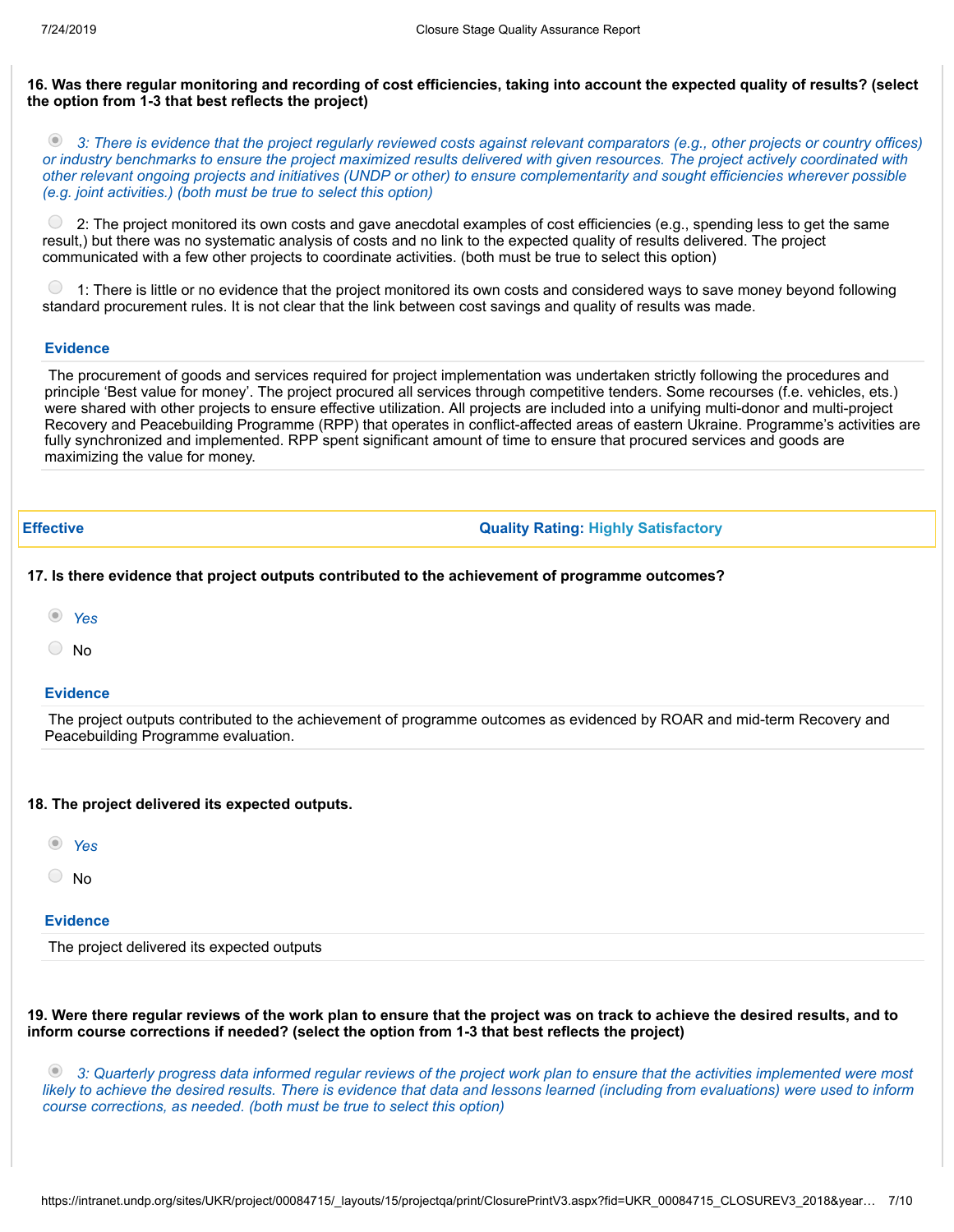#### 16. Was there regular monitoring and recording of cost efficiencies, taking into account the expected quality of results? (select **the option from 1-3 that best reflects the project)**

2. 3: There is evidence that the project regularly reviewed costs against relevant comparators (e.g., other projects or country offices) or industry benchmarks to ensure the project maximized results delivered with given resources. The project actively coordinated with other relevant ongoing projects and initiatives (UNDP or other) to ensure complementarity and sought efficiencies wherever possible *(e.g. joint activities.) (both must be true to select this option)*

 $\bigcirc$ 2: The project monitored its own costs and gave anecdotal examples of cost efficiencies (e.g., spending less to get the same result,) but there was no systematic analysis of costs and no link to the expected quality of results delivered. The project communicated with a few other projects to coordinate activities. (both must be true to select this option)

1: There is little or no evidence that the project monitored its own costs and considered ways to save money beyond following standard procurement rules. It is not clear that the link between cost savings and quality of results was made.

#### **Evidence**

The procurement of goods and services required for project implementation was undertaken strictly following the procedures and principle 'Best value for money'. The project procured all services through competitive tenders. Some recourses (f.e. vehicles, ets.) were shared with other projects to ensure effective utilization. All projects are included into a unifying multi-donor and multi-project Recovery and Peacebuilding Programme (RPP) that operates in conflict-affected areas of eastern Ukraine. Programme's activities are fully synchronized and implemented. RPP spent significant amount of time to ensure that procured services and goods are maximizing the value for money.

**Effective Quality Rating: Highly Satisfactory**

#### **17. Is there evidence that project outputs contributed to the achievement of programme outcomes?**

- *Yes*
- No

#### **Evidence**

The project outputs contributed to the achievement of programme outcomes as evidenced by ROAR and mid-term Recovery and Peacebuilding Programme evaluation.

#### **18. The project delivered its expected outputs.**

- *Yes*
- No

#### **Evidence**

The project delivered its expected outputs

19. Were there regular reviews of the work plan to ensure that the project was on track to achieve the desired results, and to **inform course corrections if needed? (select the option from 1-3 that best reflects the project)**

2 3: Quarterly progress data informed regular reviews of the project work plan to ensure that the activities implemented were most likely to achieve the desired results. There is evidence that data and lessons learned (including from evaluations) were used to inform *course corrections, as needed. (both must be true to select this option)*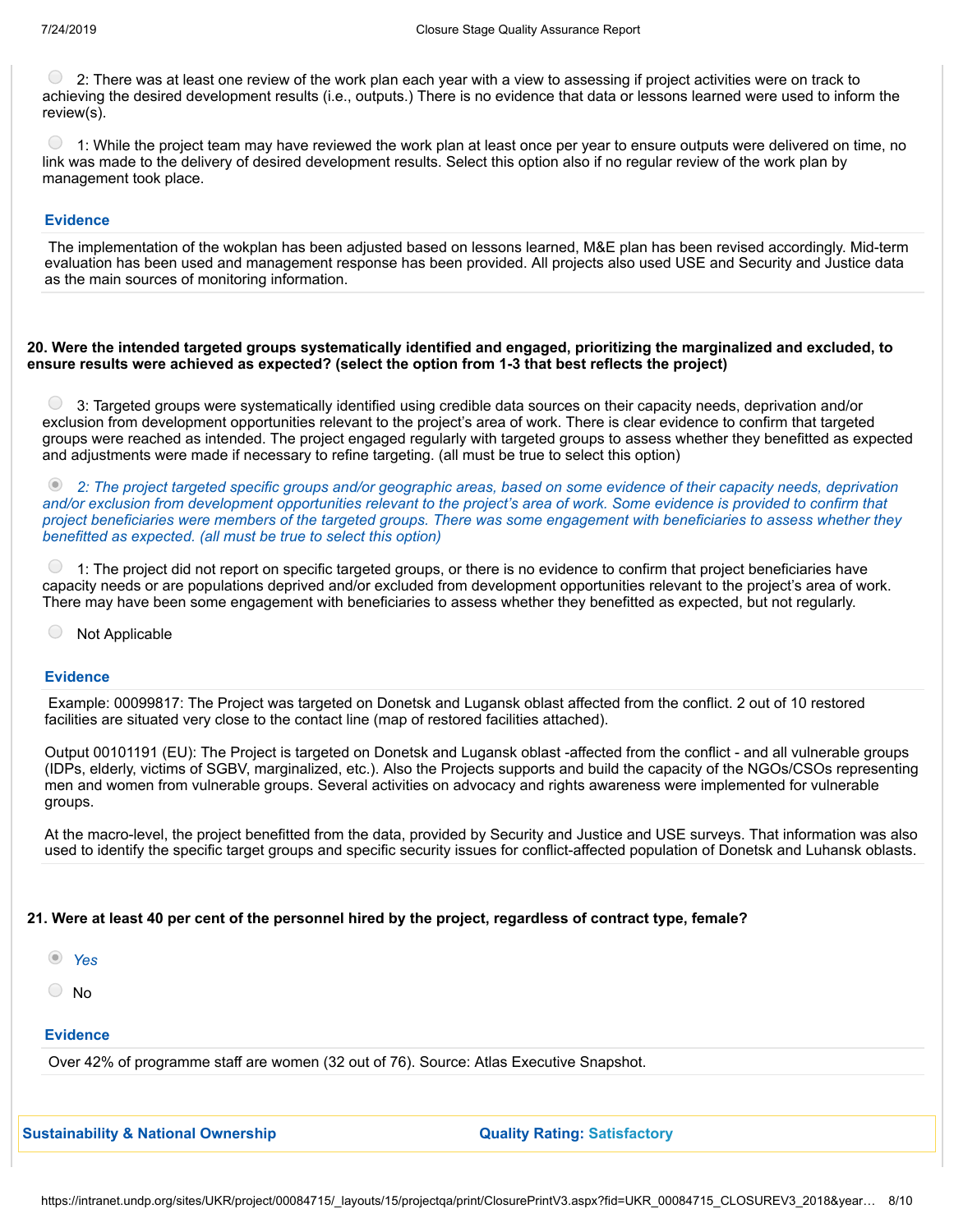$\bigcirc$ 2: There was at least one review of the work plan each year with a view to assessing if project activities were on track to achieving the desired development results (i.e., outputs.) There is no evidence that data or lessons learned were used to inform the review(s).

 $\bigcirc$ 1: While the project team may have reviewed the work plan at least once per year to ensure outputs were delivered on time, no link was made to the delivery of desired development results. Select this option also if no regular review of the work plan by management took place.

#### **Evidence**

The implementation of the wokplan has been adjusted based on lessons learned, M&E plan has been revised accordingly. Mid-term evaluation has been used and management response has been provided. All projects also used USE and Security and Justice data as the main sources of monitoring information.

#### 20. Were the intended targeted groups systematically identified and engaged, prioritizing the marginalized and excluded, to **ensure results were achieved as expected? (select the option from 1-3 that best reflects the project)**

 $\bigcirc$ 3: Targeted groups were systematically identified using credible data sources on their capacity needs, deprivation and/or exclusion from development opportunities relevant to the project's area of work. There is clear evidence to confirm that targeted groups were reached as intended. The project engaged regularly with targeted groups to assess whether they benefitted as expected and adjustments were made if necessary to refine targeting. (all must be true to select this option)

 $\circledcirc$ 2: The project targeted specific groups and/or geographic areas, based on some evidence of their capacity needs, deprivation and/or exclusion from development opportunities relevant to the project's area of work. Some evidence is provided to confirm that project beneficiaries were members of the targeted groups. There was some engagement with beneficiaries to assess whether they *benefitted as expected. (all must be true to select this option)*

 $\bullet$  1: The project did not report on specific targeted groups, or there is no evidence to confirm that project beneficiaries have capacity needs or are populations deprived and/or excluded from development opportunities relevant to the project's area of work. There may have been some engagement with beneficiaries to assess whether they benefitted as expected, but not regularly.

 $( )$ Not Applicable

#### **Evidence**

Example: 00099817: The Project was targeted on Donetsk and Lugansk oblast affected from the conflict. 2 out of 10 restored facilities are situated very close to the contact line (map of restored facilities attached).

Output 00101191 (EU): The Project is targeted on Donetsk and Lugansk oblast -affected from the conflict - and all vulnerable groups (IDPs, elderly, victims of SGBV, marginalized, etc.). Also the Projects supports and build the capacity of the NGOs/CSOs representing men and women from vulnerable groups. Several activities on advocacy and rights awareness were implemented for vulnerable groups.

At the macro-level, the project benefitted from the data, provided by Security and Justice and USE surveys. That information was also used to identify the specific target groups and specific security issues for conflict-affected population of Donetsk and Luhansk oblasts.

#### 21. Were at least 40 per cent of the personnel hired by the project, regardless of contract type, female?

- *Yes*
- No

#### **Evidence**

Over 42% of programme staff are women (32 out of 76). Source: Atlas Executive Snapshot.

**Sustainability & National Ownership Quality Rating: Satisfactory**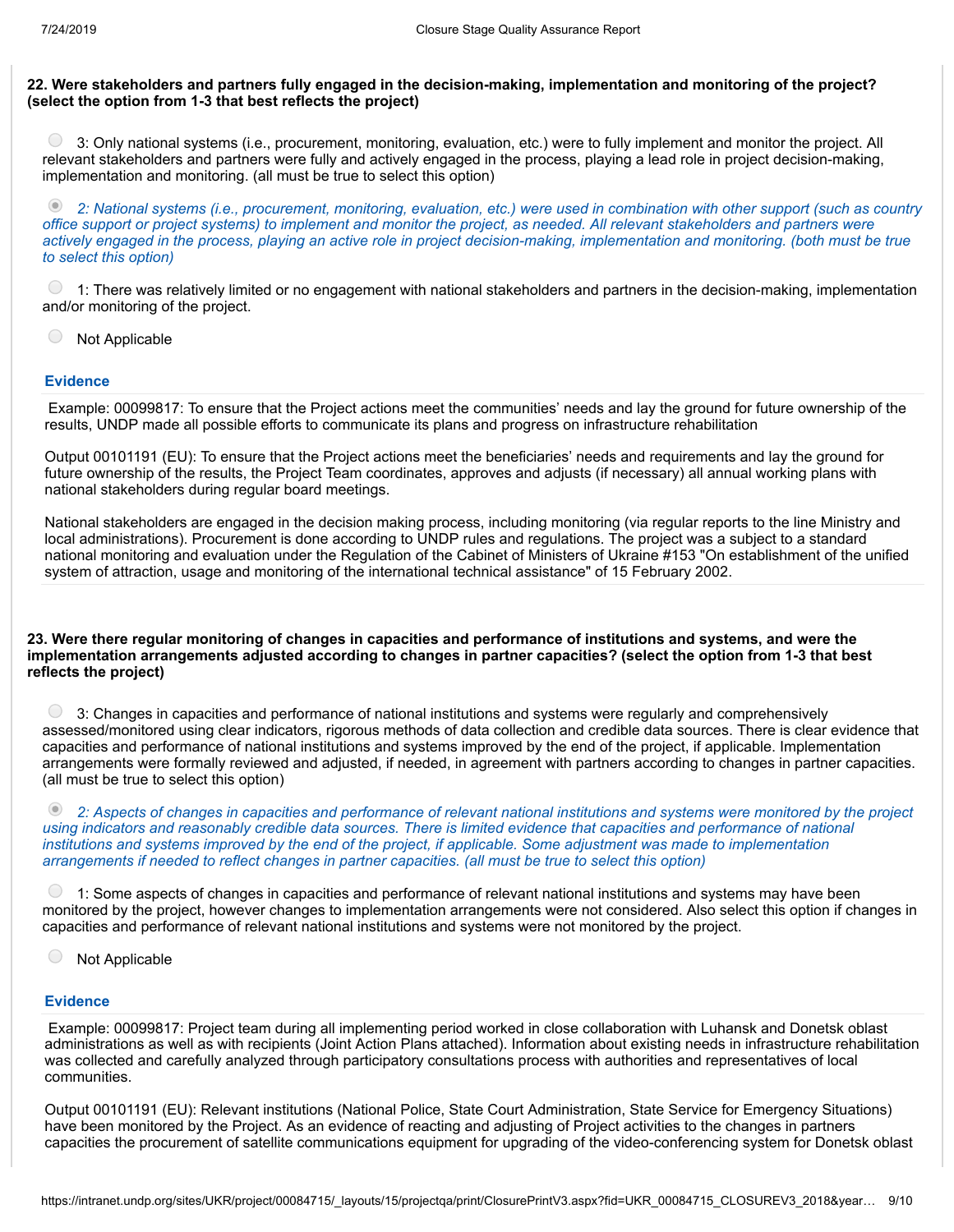#### 22. Were stakeholders and partners fully engaged in the decision-making, implementation and monitoring of the project? **(select the option from 1-3 that best reflects the project)**

 $\left( \quad \right)$ 3: Only national systems (i.e., procurement, monitoring, evaluation, etc.) were to fully implement and monitor the project. All relevant stakeholders and partners were fully and actively engaged in the process, playing a lead role in project decision-making, implementation and monitoring. (all must be true to select this option)

 $\circledcirc$ 2: National systems (i.e., procurement, monitoring, evaluation, etc.) were used in combination with other support (such as country office support or project systems) to implement and monitor the project, as needed. All relevant stakeholders and partners were actively engaged in the process, playing an active role in project decision-making, implementation and monitoring. (both must be true *to select this option)*

 $\bigcirc$ 1: There was relatively limited or no engagement with national stakeholders and partners in the decision-making, implementation and/or monitoring of the project.

 $\bigcirc$ Not Applicable

#### **Evidence**

Example: 00099817: To ensure that the Project actions meet the communities' needs and lay the ground for future ownership of the results, UNDP made all possible efforts to communicate its plans and progress on infrastructure rehabilitation

Output 00101191 (EU): To ensure that the Project actions meet the beneficiaries' needs and requirements and lay the ground for future ownership of the results, the Project Team coordinates, approves and adjusts (if necessary) all annual working plans with national stakeholders during regular board meetings.

National stakeholders are engaged in the decision making process, including monitoring (via regular reports to the line Ministry and local administrations). Procurement is done according to UNDP rules and regulations. The project was a subject to a standard national monitoring and evaluation under the Regulation of the Cabinet of Ministers of Ukraine #153 "On establishment of the unified system of attraction, usage and monitoring of the international technical assistance" of 15 February 2002.

#### 23. Were there regular monitoring of changes in capacities and performance of institutions and systems, and were the implementation arrangements adjusted according to changes in partner capacities? (select the option from 1-3 that best **reflects the project)**

 $\bigcirc$ 3: Changes in capacities and performance of national institutions and systems were regularly and comprehensively assessed/monitored using clear indicators, rigorous methods of data collection and credible data sources. There is clear evidence that capacities and performance of national institutions and systems improved by the end of the project, if applicable. Implementation arrangements were formally reviewed and adjusted, if needed, in agreement with partners according to changes in partner capacities. (all must be true to select this option)

2: Aspects of changes in capacities and performance of relevant national institutions and systems were monitored by the project using indicators and reasonably credible data sources. There is limited evidence that capacities and performance of national institutions and systems improved by the end of the project, if applicable. Some adjustment was made to implementation *arrangements if needed to reflect changes in partner capacities. (all must be true to select this option)*

1: Some aspects of changes in capacities and performance of relevant national institutions and systems may have been monitored by the project, however changes to implementation arrangements were not considered. Also select this option if changes in capacities and performance of relevant national institutions and systems were not monitored by the project.

 $\bigcirc$ Not Applicable

#### **Evidence**

Example: 00099817: Project team during all implementing period worked in close collaboration with Luhansk and Donetsk oblast administrations as well as with recipients (Joint Action Plans attached). Information about existing needs in infrastructure rehabilitation was collected and carefully analyzed through participatory consultations process with authorities and representatives of local communities.

Output 00101191 (EU): Relevant institutions (National Police, State Court Administration, State Service for Emergency Situations) have been monitored by the Project. As an evidence of reacting and adjusting of Project activities to the changes in partners capacities the procurement of satellite communications equipment for upgrading of the video-conferencing system for Donetsk oblast